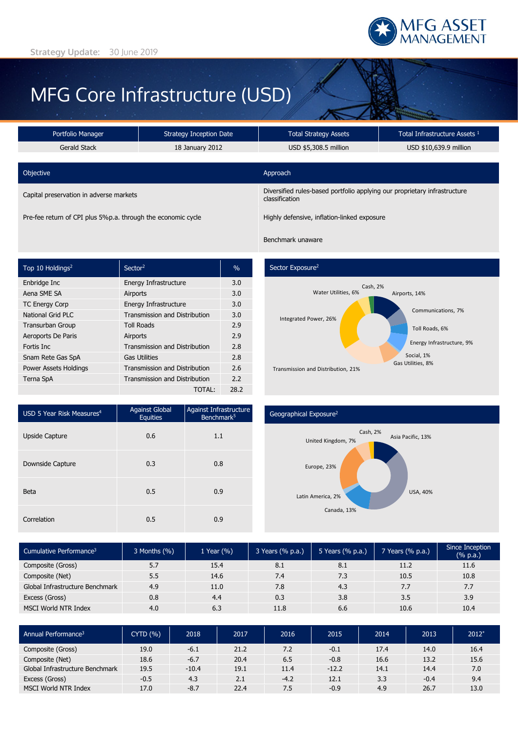

# MFG Core Infrastructure (USD)

| Portfolio Manager                                            | <b>Strategy Inception Date</b> | <b>Total Strategy Assets</b>                                                                | Total Infrastructure Assets 1 |  |  |
|--------------------------------------------------------------|--------------------------------|---------------------------------------------------------------------------------------------|-------------------------------|--|--|
| Gerald Stack                                                 | 18 January 2012                | USD \$5,308.5 million                                                                       | USD \$10,639.9 million        |  |  |
|                                                              |                                |                                                                                             |                               |  |  |
| Objective                                                    |                                | Approach                                                                                    |                               |  |  |
| Capital preservation in adverse markets                      |                                | Diversified rules-based portfolio applying our proprietary infrastructure<br>classification |                               |  |  |
| Pre-fee return of CPI plus 5%p.a. through the economic cycle |                                | Highly defensive, inflation-linked exposure                                                 |                               |  |  |

| Top 10 Holdings <sup>2</sup> | Sector <sup>2</sup>                  | $\%$ |
|------------------------------|--------------------------------------|------|
| Enbridge Inc                 | Energy Infrastructure                | 3.0  |
| Aena SME SA                  | Airports                             | 3.0  |
| <b>TC Energy Corp</b>        | Energy Infrastructure                | 3.0  |
| National Grid PLC            | <b>Transmission and Distribution</b> | 3.0  |
| <b>Transurban Group</b>      | <b>Toll Roads</b>                    | 2.9  |
| Aeroports De Paris           | Airports                             | 2.9  |
| Fortis Inc.                  | <b>Transmission and Distribution</b> | 2.8  |
| Snam Rete Gas SpA            | <b>Gas Utilities</b>                 | 2.8  |
| Power Assets Holdings        | <b>Transmission and Distribution</b> | 2.6  |
| Terna SpA                    | <b>Transmission and Distribution</b> | 2.2  |
|                              | TOTAL:                               | 28.2 |

# Sector Exposure<sup>2</sup>

Benchmark unaware



| USD 5 Year Risk Measures <sup>4</sup> | <b>Against Global</b><br><b>Equities</b> | Against Infrastructure<br>Benchmark <sup>5</sup> |
|---------------------------------------|------------------------------------------|--------------------------------------------------|
| <b>Upside Capture</b>                 | 0.6                                      | 1.1                                              |
| Downside Capture                      | 0.3                                      | 0.8                                              |
| <b>Beta</b>                           | 0.5                                      | 0.9                                              |
| Correlation                           | 0.5                                      | 0.9                                              |

## Geographical Exposure2



| Cumulative Performance <sup>3</sup> | $3$ Months $(\% )$ | 1 Year (%) | 3 Years (% p.a.) | 5 Years $(% p.a.)$ | 7 Years (% p.a.) | Since Inception<br>(% p.a.) |
|-------------------------------------|--------------------|------------|------------------|--------------------|------------------|-----------------------------|
| Composite (Gross)                   | 5.7                | 15.4       | 8.1              | 8.1                | 11.2             | 11.6                        |
| Composite (Net)                     | 5.5                | 14.6       | 7.4              | 7.3                | 10.5             | 10.8                        |
| Global Infrastructure Benchmark     | 4.9                | 11.0       | 7.8              | 4.3                | 7.7              | 7.7                         |
| Excess (Gross)                      | 0.8                | 4.4        | 0.3              | 3.8                | 3.5              | 3.9                         |
| <b>MSCI World NTR Index</b>         | 4.0                | 6.3        | 11.8             | 6.6                | 10.6             | 10.4                        |

| Annual Performance <sup>3</sup> | <b>CYTD (%)</b> | 2018    | 2017 | 2016   | 2015    | 2014 | 2013   | $2012*$ |
|---------------------------------|-----------------|---------|------|--------|---------|------|--------|---------|
| Composite (Gross)               | 19.0            | $-6.1$  | 21.2 | 7.2    | $-0.1$  | 17.4 | 14.0   | 16.4    |
| Composite (Net)                 | 18.6            | $-6.7$  | 20.4 | 6.5    | $-0.8$  | 16.6 | 13.2   | 15.6    |
| Global Infrastructure Benchmark | 19.5            | $-10.4$ | 19.1 | 11.4   | $-12.2$ | 14.1 | 14.4   | 7.0     |
| Excess (Gross)                  | $-0.5$          | 4.3     | 2.1  | $-4.2$ | 12.1    | 3.3  | $-0.4$ | 9.4     |
| <b>MSCI World NTR Index</b>     | 17.0            | $-8.7$  | 22.4 | 7.5    | $-0.9$  | 4.9  | 26.7   | 13.0    |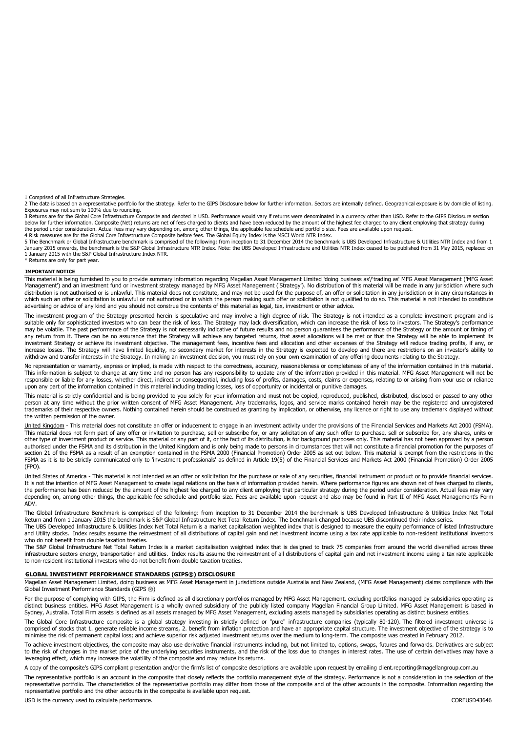1 Comprised of all Infrastructure Strategies.

2 The data is based on a representative portfolio for the strategy. Refer to the GIPS Disclosure below for further information. Sectors are internally defined. Geographical exposure is by domicile of listing.<br>Exposures may

3 Returns are for the Global Core Infrastructure Composite and denoted in USD. Performance would vary if returns were denominated in a currency other than USD. Refer to the GIPS Disclosure section below for further information. Composite (Net) returns are net of fees charged to clients and have been reduced by the amount of the highest fee charged to any client employing that strategy during the period under consideration. Actual fees may vary depending on, among other things, the applicable fee schedule and portfolio size. Fees are available upon request.<br>4 Risk measures are for the Global Core Infrastructure

5 The Benchmark or Global Infrastructure benchmark is comprised of the following: from inception to 31 December 2014 the benchmark is UBS Developed Infrastructure & Utilities NTR Index and from 1 January 2015 onwards, the benchmark is the S&P Global Infrastructure NTR Index. Note: the UBS Developed Infrastructure and Utilities NTR Index ceased to be published from 31 May 2015, replaced on 1 January 2015 with the S&P Global Infrastructure Index NTR. \* Returns are only for part year.

#### **IMPORTANT NOTICE**

This material is being furnished to you to provide summary information regarding Magellan Asset Management Limited 'doing business as'/'trading as' MFG Asset Management ('MFG Asset Management') and an investment fund or investment strategy managed by MFG Asset Management ('Strategy'). No distribution of this material will be made in any jurisdiction where such distribution is not authorised or is unlawful. This material does not constitute, and may not be used for the purpose of, an offer or solicitation in any jurisdiction or in any circumstances in which such an offer or solicitation is unlawful or not authorized or in which the person making such offer or solicitation is not qualified to do so. This material is not intended to constitute advertising or advice of any kind and you should not construe the contents of this material as legal, tax, investment or other advice.

The investment program of the Strategy presented herein is speculative and may involve a high degree of risk. The Strategy is not intended as a complete investment program and is<br>suitable only for sophisticated investors w may be volatile. The past performance of the Strategy is not necessarily indicative of future results and no person guarantees the performance of the Strategy or the amount or timing of any return from it. There can be no assurance that the Strategy will achieve any targeted returns, that asset allocations will be met or that the Strategy will be able to implement its investment Strategy or achieve its investment objective. The management fees, incentive fees and allocation and other expenses of the Strategy will reduce trading profits, if any, or increase losses. The Strategy will have limited liquidity, no secondary market for interests in the Strategy is expected to develop and there are restrictions on an investor's ability to withdraw and transfer interests in the Strategy. In making an investment decision, you must rely on your own examination of any offering documents relating to the Strategy.

No representation or warranty, express or implied, is made with respect to the correctness, accuracy, reasonableness or completeness of any of the information contained in this material. This information is subject to change at any time and no person has any responsibility to update any of the information provided in this material. MFG Asset Management will not be responsible or liable for any losses, whether direct, indirect or consequential, including loss of profits, damages, costs, claims or expenses, relating to or arising from your use or reliance upon any part of the information contained in this material including trading losses, loss of opportunity or incidental or punitive damages.

This material is strictly confidential and is being provided to you solely for your information and must not be copied, reproduced, published, distributed, disclosed or passed to any other<br>person at any time without the pr trademarks of their respective owners. Nothing contained herein should be construed as granting by implication, or otherwise, any licence or right to use any trademark displayed without the written permission of the owner.

United Kingdom - This material does not constitute an offer or inducement to engage in an investment activity under the provisions of the Financial Services and Markets Act 2000 (FSMA). This material does not form part of any offer or invitation to purchase, sell or subscribe for, or any solicitation of any such offer to purchase, sell or subscribe for, any shares, units or other type of investment product or service. This material or any part of it, or the fact of its distribution, is for background purposes only. This material has not been approved by a person authorised under the FSMA and its distribution in the United Kingdom and is only being made to persons in circumstances that will not constitute a financial promotion for the purposes of section 21 of the FSMA as a result of an exemption contained in the FSMA 2000 (Financial Promotion) Order 2005 as set out below. This material is exempt from the restrictions in the FSMA as it is to be strictly communicated only to 'investment professionals' as defined in Article 19(5) of the Financial Services and Markets Act 2000 (Financial Promotion) Order 2005 (FPO).

United States of America - This material is not intended as an offer or solicitation for the purchase or sale of any securities, financial instrument or product or to provide financial services. It is not the intention of MFG Asset Management to create legal relations on the basis of information provided herein. Where performance figures are shown net of fees charged to clients, the performance has been reduced by the amount of the highest fee charged to any client employing that particular strategy during the period under consideration. Actual fees may vary depending on, among other things, the applicable fee schedule and portfolio size. Fees are available upon request and also may be found in Part II of MFG Asset Management's Form ADV.

The Global Infrastructure Benchmark is comprised of the following: from inception to 31 December 2014 the benchmark is UBS Developed Infrastructure & Utilities Index Net Total Return and from 1 January 2015 the benchmark is S&P Global Infrastructure Net Total Return Index. The benchmark changed because UBS discontinued their index series. The UBS Developed Infrastructure & Utilities Index Net Total Return is a market capitalisation weighted index that is designed to measure the equity performance of listed Infrastructure

and Utility stocks. Index results assume the reinvestment of all distributions of capital gain and net investment income using a tax rate applicable to non-resident institutional investors who do not benefit from double taxation treaties.

The S&P Global Infrastructure Net Total Return Index is a market capitalisation weighted index that is designed to track 75 companies from around the world diversified across three infrastructure sectors energy, transportation and utilities. Index results assume the reinvestment of all distributions of capital gain and net investment income using a tax rate applicable to non-resident institutional investors who do not benefit from double taxation treaties.

#### **GLOBAL INVESTMENT PERFORMANCE STANDARDS (GIPS®) DISCLOSURE**

Magellan Asset Management Limited, doing business as MFG Asset Management in jurisdictions outside Australia and New Zealand, (MFG Asset Management) claims compliance with the Global Investment Performance Standards (GIPS ®)

For the purpose of complying with GIPS, the Firm is defined as all discretionary portfolios managed by MFG Asset Management, excluding portfolios managed by subsidiaries operating as<br>distinct business entities. MFG Asset M Sydney, Australia. Total Firm assets is defined as all assets managed by MFG Asset Management, excluding assets managed by subsidiaries operating as distinct business entities.

The Global Core Infrastructure composite is a global strategy investing in strictly defined or "pure" infrastructure companies (typically 80-120). The filtered investment universe is comprised of stocks that 1. generate reliable income streams, 2. benefit from inflation protection and have an appropriate capital structure. The investment objective of the strategy is to minimise the risk of permanent capital loss; and achieve superior risk adjusted investment returns over the medium to long-term. The composite was created in February 2012.

To achieve investment objectives, the composite may also use derivative financial instruments including, but not limited to, options, swaps, futures and forwards. Derivatives are subject<br>to the risk of changes in the marke leveraging effect, which may increase the volatility of the composite and may reduce its returns.

A copy of the composite's GIPS compliant presentation and/or the firm's list of composite descriptions are available upon request by emailing client.reporting@magellangroup.com.au

The representative portfolio is an account in the composite that closely reflects the portfolio management style of the strategy. Performance is not a consideration in the selection of the representative portfolio. The characteristics of the representative portfolio may differ from those of the composite and of the other accounts in the composite. Information regarding the representative portfolio and the other accounts in the composite is available upon request.

USD is the currency used to calculate performance. COREUSD43646